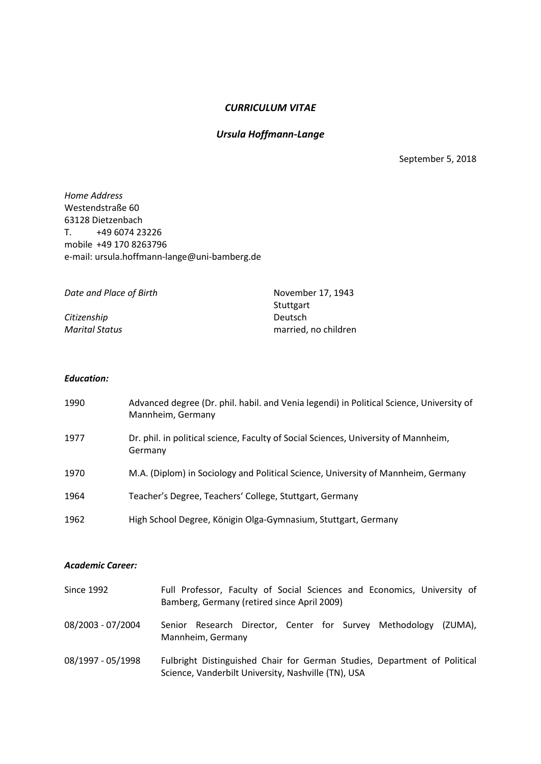# *CURRICULUM VITAE*

# *Ursula Hoffmann-Lange*

September 5, 2018

*Home Address* Westendstraße 60 63128 Dietzenbach T. +49 6074 23226 mobile +49 170 8263796 e-mail: ursula.hoffmann-lange@uni-bamberg.de

*Date and Place of Birth* November 17, 1943

*Citizenship* 

Stuttgart<br>Deutsch *Marital Status* married, no children

### *Education:*

| 1990 | Advanced degree (Dr. phil. habil. and Venia legendi) in Political Science, University of<br>Mannheim, Germany |
|------|---------------------------------------------------------------------------------------------------------------|
| 1977 | Dr. phil. in political science, Faculty of Social Sciences, University of Mannheim,<br>Germany                |
| 1970 | M.A. (Diplom) in Sociology and Political Science, University of Mannheim, Germany                             |
| 1964 | Teacher's Degree, Teachers' College, Stuttgart, Germany                                                       |
| 1962 | High School Degree, Königin Olga-Gymnasium, Stuttgart, Germany                                                |

### *Academic Career:*

| Since 1992        | Full Professor, Faculty of Social Sciences and Economics, University of<br>Bamberg, Germany (retired since April 2009)           |
|-------------------|----------------------------------------------------------------------------------------------------------------------------------|
| 08/2003 - 07/2004 | Senior Research Director, Center for Survey Methodology<br>(ZUMA).<br>Mannheim, Germany                                          |
| 08/1997 - 05/1998 | Fulbright Distinguished Chair for German Studies, Department of Political<br>Science, Vanderbilt University, Nashville (TN), USA |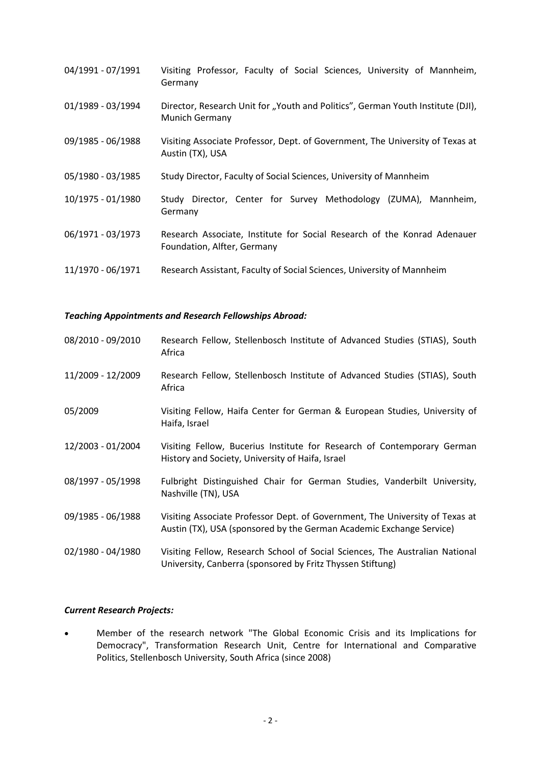| 04/1991 - 07/1991 | Visiting Professor, Faculty of Social Sciences, University of Mannheim,<br>Germany                      |
|-------------------|---------------------------------------------------------------------------------------------------------|
| 01/1989 - 03/1994 | Director, Research Unit for "Youth and Politics", German Youth Institute (DJI),<br>Munich Germany       |
| 09/1985 - 06/1988 | Visiting Associate Professor, Dept. of Government, The University of Texas at<br>Austin (TX), USA       |
| 05/1980 - 03/1985 | Study Director, Faculty of Social Sciences, University of Mannheim                                      |
| 10/1975 - 01/1980 | Study Director, Center for Survey Methodology (ZUMA),<br>Mannheim,<br>Germany                           |
| 06/1971 - 03/1973 | Research Associate, Institute for Social Research of the Konrad Adenauer<br>Foundation, Alfter, Germany |
| 11/1970 - 06/1971 | Research Assistant, Faculty of Social Sciences, University of Mannheim                                  |

## *Teaching Appointments and Research Fellowships Abroad:*

| 08/2010 - 09/2010 | Research Fellow, Stellenbosch Institute of Advanced Studies (STIAS), South<br>Africa                                                                 |
|-------------------|------------------------------------------------------------------------------------------------------------------------------------------------------|
| 11/2009 - 12/2009 | Research Fellow, Stellenbosch Institute of Advanced Studies (STIAS), South<br>Africa                                                                 |
| 05/2009           | Visiting Fellow, Haifa Center for German & European Studies, University of<br>Haifa, Israel                                                          |
| 12/2003 - 01/2004 | Visiting Fellow, Bucerius Institute for Research of Contemporary German<br>History and Society, University of Haifa, Israel                          |
| 08/1997 - 05/1998 | Fulbright Distinguished Chair for German Studies, Vanderbilt University,<br>Nashville (TN), USA                                                      |
| 09/1985 - 06/1988 | Visiting Associate Professor Dept. of Government, The University of Texas at<br>Austin (TX), USA (sponsored by the German Academic Exchange Service) |
| 02/1980 - 04/1980 | Visiting Fellow, Research School of Social Sciences, The Australian National<br>University, Canberra (sponsored by Fritz Thyssen Stiftung)           |

# *Current Research Projects:*

 Member of the research network "The Global Economic Crisis and its Implications for Democracy", Transformation Research Unit, Centre for International and Comparative Politics, Stellenbosch University, South Africa (since 2008)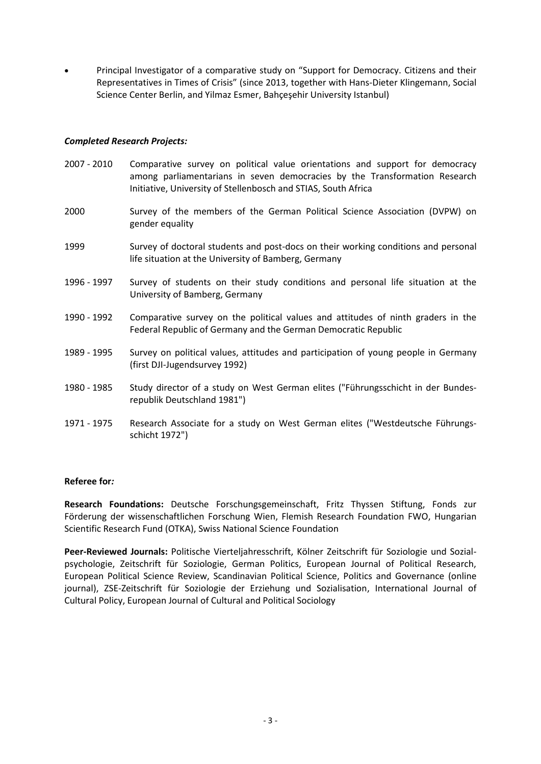Principal Investigator of a comparative study on "Support for Democracy. Citizens and their Representatives in Times of Crisis" (since 2013, together with Hans-Dieter Klingemann, Social Science Center Berlin, and Yilmaz Esmer, Bahçeşehir University Istanbul)

# *Completed Research Projects:*

- 2007 2010 Comparative survey on political value orientations and support for democracy among parliamentarians in seven democracies by the Transformation Research Initiative, University of Stellenbosch and STIAS, South Africa
- 2000 Survey of the members of the German Political Science Association (DVPW) on gender equality
- 1999 Survey of doctoral students and post-docs on their working conditions and personal life situation at the University of Bamberg, Germany
- 1996 1997 Survey of students on their study conditions and personal life situation at the University of Bamberg, Germany
- 1990 1992 Comparative survey on the political values and attitudes of ninth graders in the Federal Republic of Germany and the German Democratic Republic
- 1989 1995 Survey on political values, attitudes and participation of young people in Germany (first DJI-Jugendsurvey 1992)
- 1980 1985 Study director of a study on West German elites ("Führungsschicht in der Bundesrepublik Deutschland 1981")
- 1971 1975 Research Associate for a study on West German elites ("Westdeutsche Führungsschicht 1972")

### **Referee for***:*

**Research Foundations:** Deutsche Forschungsgemeinschaft, Fritz Thyssen Stiftung, Fonds zur Förderung der wissenschaftlichen Forschung Wien, Flemish Research Foundation FWO, Hungarian Scientific Research Fund (OTKA), Swiss National Science Foundation

**Peer-Reviewed Journals:** Politische Vierteljahresschrift, Kölner Zeitschrift für Soziologie und Sozialpsychologie, Zeitschrift für Soziologie, German Politics, European Journal of Political Research, European Political Science Review, Scandinavian Political Science, Politics and Governance (online journal), ZSE-Zeitschrift für Soziologie der Erziehung und Sozialisation, International Journal of Cultural Policy, European Journal of Cultural and Political Sociology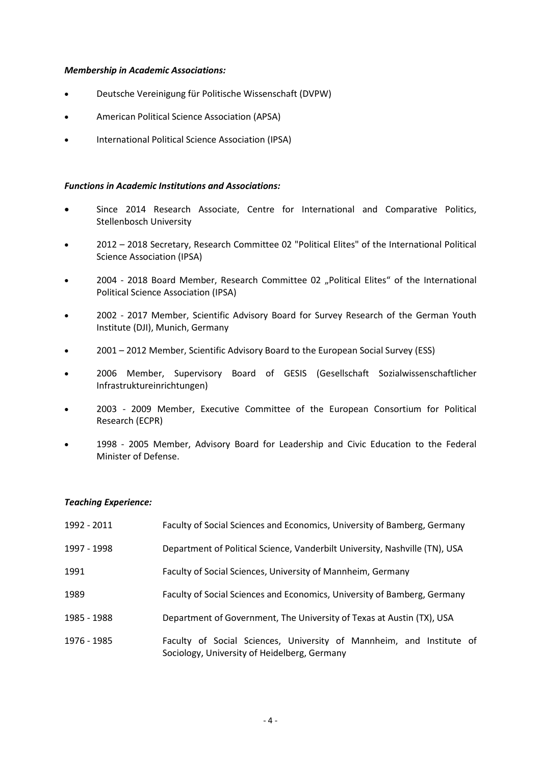### *Membership in Academic Associations:*

- Deutsche Vereinigung für Politische Wissenschaft (DVPW)
- American Political Science Association (APSA)
- International Political Science Association (IPSA)

### *Functions in Academic Institutions and Associations:*

- Since 2014 Research Associate, Centre for International and Comparative Politics, Stellenbosch University
- 2012 2018 Secretary, Research Committee 02 "Political Elites" of the International Political Science Association (IPSA)
- 2004 2018 Board Member, Research Committee 02 "Political Elites" of the International Political Science Association (IPSA)
- 2002 2017 Member, Scientific Advisory Board for Survey Research of the German Youth Institute (DJI), Munich, Germany
- 2001 2012 Member, Scientific Advisory Board to the European Social Survey (ESS)
- 2006 Member, Supervisory Board of GESIS (Gesellschaft Sozialwissenschaftlicher Infrastruktureinrichtungen)
- 2003 2009 Member, Executive Committee of the European Consortium for Political Research (ECPR)
- 1998 2005 Member, Advisory Board for Leadership and Civic Education to the Federal Minister of Defense.

### *Teaching Experience:*

| 1992 - 2011 | Faculty of Social Sciences and Economics, University of Bamberg, Germany                                             |
|-------------|----------------------------------------------------------------------------------------------------------------------|
| 1997 - 1998 | Department of Political Science, Vanderbilt University, Nashville (TN), USA                                          |
| 1991        | Faculty of Social Sciences, University of Mannheim, Germany                                                          |
| 1989        | Faculty of Social Sciences and Economics, University of Bamberg, Germany                                             |
| 1985 - 1988 | Department of Government, The University of Texas at Austin (TX), USA                                                |
| 1976 - 1985 | Faculty of Social Sciences, University of Mannheim, and Institute of<br>Sociology, University of Heidelberg, Germany |